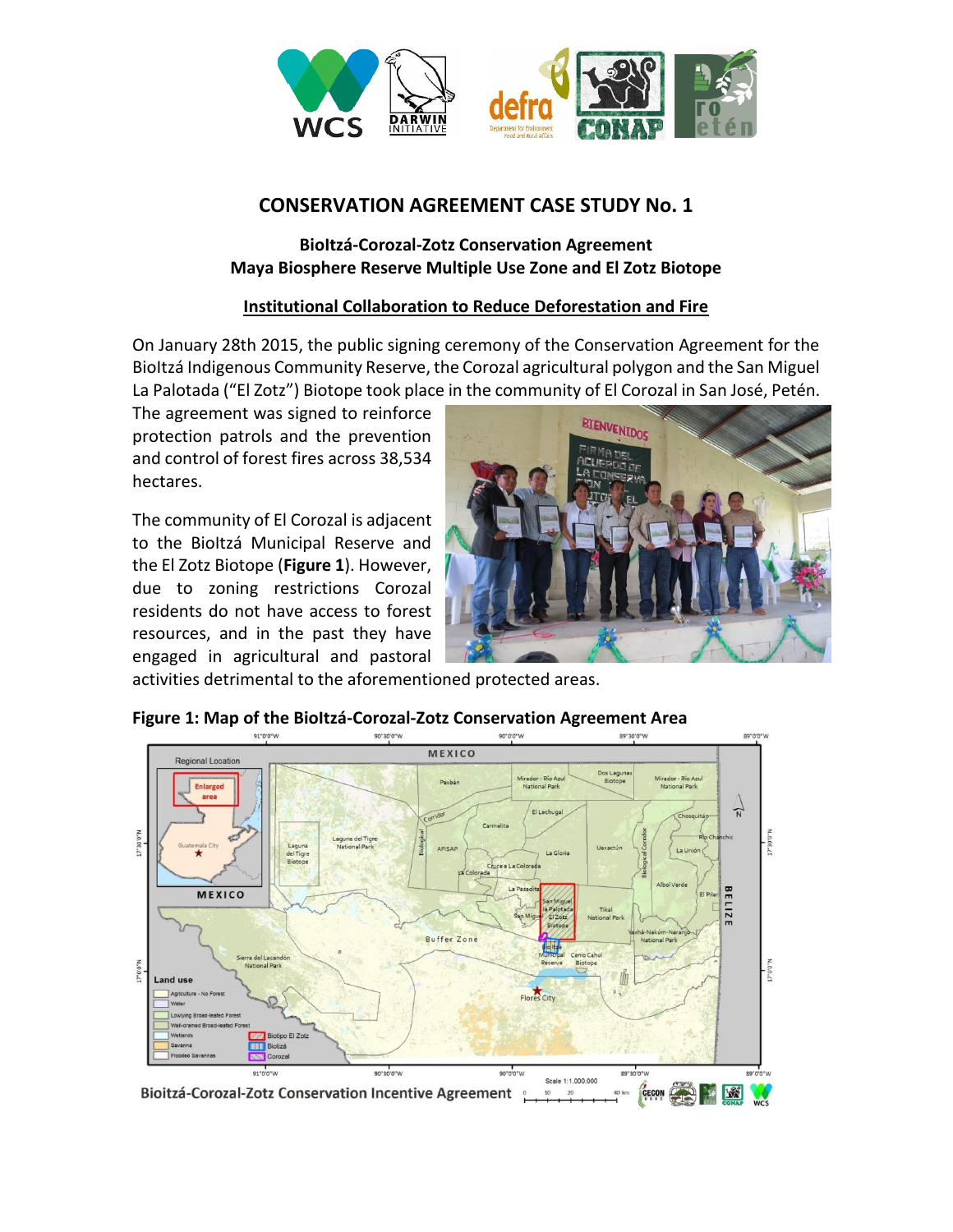

## **CONSERVATION AGREEMENT CASE STUDY No. 1**

### **BioItzá-Corozal-Zotz Conservation Agreement Maya Biosphere Reserve Multiple Use Zone and El Zotz Biotope**

### **Institutional Collaboration to Reduce Deforestation and Fire**

On January 28th 2015, the public signing ceremony of the Conservation Agreement for the BioItzá Indigenous Community Reserve, the Corozal agricultural polygon and the San Miguel La Palotada ("El Zotz") Biotope took place in the community of El Corozal in San José, Petén.

The agreement was signed to reinforce protection patrols and the prevention and control of forest fires across 38,534 hectares.

The community of El Corozal is adjacent to the BioItzá Municipal Reserve and the El Zotz Biotope (**Figure 1**). However, due to zoning restrictions Corozal residents do not have access to forest resources, and in the past they have engaged in agricultural and pastoral



activities detrimental to the aforementioned protected areas.

# **Figure 1: Map of the BioItzá-Corozal-Zotz Conservation Agreement Area**

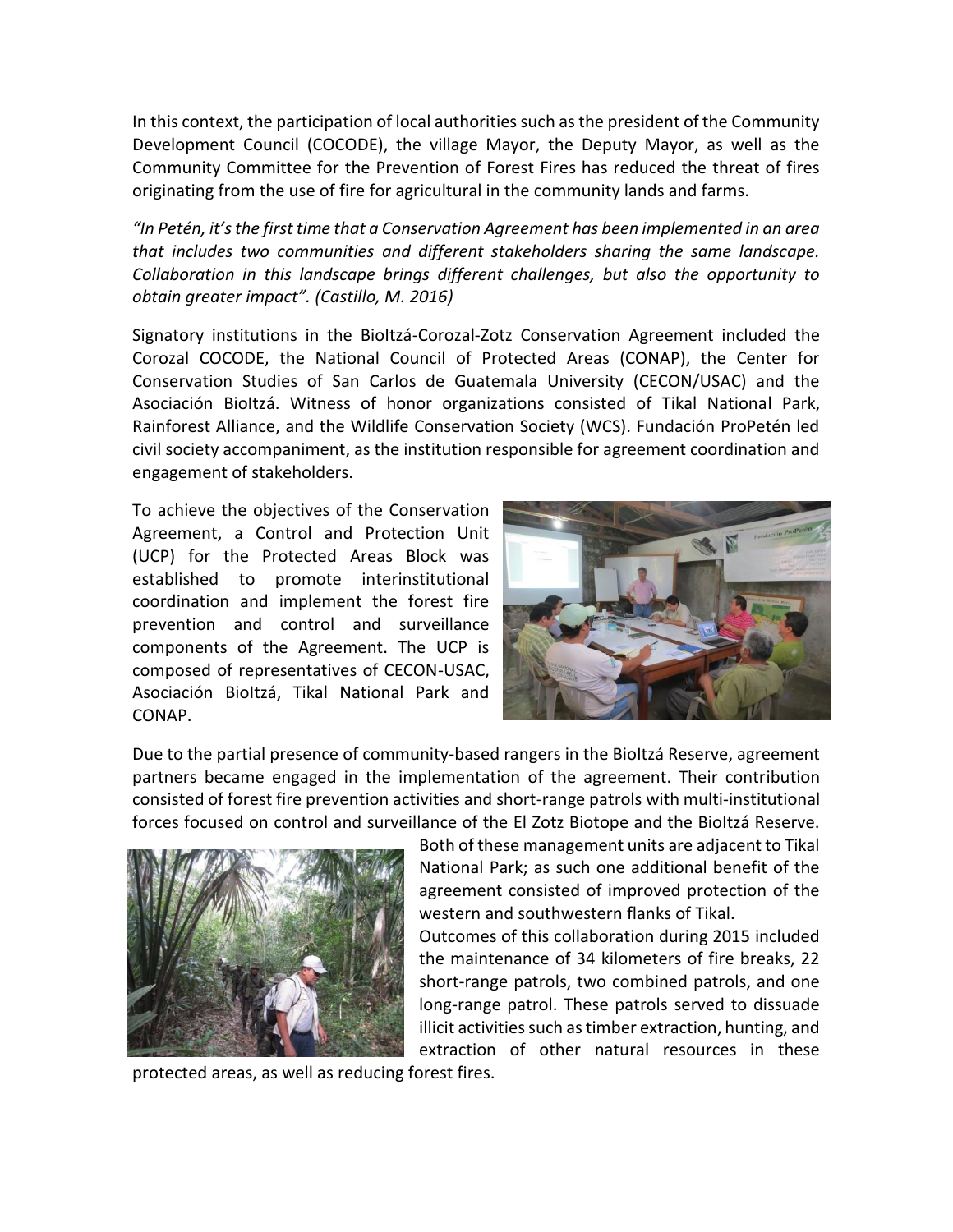In this context, the participation of local authorities such as the president of the Community Development Council (COCODE), the village Mayor, the Deputy Mayor, as well as the Community Committee for the Prevention of Forest Fires has reduced the threat of fires originating from the use of fire for agricultural in the community lands and farms.

*"In Petén, it's the first time that a Conservation Agreement has been implemented in an area that includes two communities and different stakeholders sharing the same landscape. Collaboration in this landscape brings different challenges, but also the opportunity to obtain greater impact". (Castillo, M. 2016)*

Signatory institutions in the BioItzá-Corozal-Zotz Conservation Agreement included the Corozal COCODE, the National Council of Protected Areas (CONAP), the Center for Conservation Studies of San Carlos de Guatemala University (CECON/USAC) and the Asociación BioItzá. Witness of honor organizations consisted of Tikal National Park, Rainforest Alliance, and the Wildlife Conservation Society (WCS). Fundación ProPetén led civil society accompaniment, as the institution responsible for agreement coordination and engagement of stakeholders.

To achieve the objectives of the Conservation Agreement, a Control and Protection Unit (UCP) for the Protected Areas Block was established to promote interinstitutional coordination and implement the forest fire prevention and control and surveillance components of the Agreement. The UCP is composed of representatives of CECON-USAC, Asociación BioItzá, Tikal National Park and CONAP.



Due to the partial presence of community-based rangers in the BioItzá Reserve, agreement partners became engaged in the implementation of the agreement. Their contribution consisted of forest fire prevention activities and short-range patrols with multi-institutional forces focused on control and surveillance of the El Zotz Biotope and the BioItzá Reserve.



Both of these management units are adjacent to Tikal National Park; as such one additional benefit of the agreement consisted of improved protection of the western and southwestern flanks of Tikal.

Outcomes of this collaboration during 2015 included the maintenance of 34 kilometers of fire breaks, 22 short-range patrols, two combined patrols, and one long-range patrol. These patrols served to dissuade illicit activities such as timber extraction, hunting, and extraction of other natural resources in these

protected areas, as well as reducing forest fires.